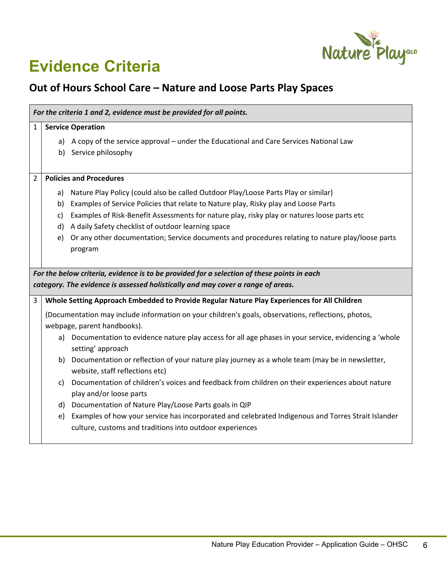

## **Evidence Criteria**

## **Out of Hours School Care – Nature and Loose Parts Play Spaces**

| For the criteria 1 and 2, evidence must be provided for all points.                        |                                |                                                                                                                                                                |  |  |
|--------------------------------------------------------------------------------------------|--------------------------------|----------------------------------------------------------------------------------------------------------------------------------------------------------------|--|--|
| 1                                                                                          | <b>Service Operation</b>       |                                                                                                                                                                |  |  |
|                                                                                            |                                | a) A copy of the service approval – under the Educational and Care Services National Law                                                                       |  |  |
|                                                                                            |                                | b) Service philosophy                                                                                                                                          |  |  |
|                                                                                            |                                |                                                                                                                                                                |  |  |
| 2                                                                                          | <b>Policies and Procedures</b> |                                                                                                                                                                |  |  |
|                                                                                            | a)                             | Nature Play Policy (could also be called Outdoor Play/Loose Parts Play or similar)                                                                             |  |  |
|                                                                                            | b)                             | Examples of Service Policies that relate to Nature play, Risky play and Loose Parts                                                                            |  |  |
|                                                                                            | $\mathsf{C}$                   | Examples of Risk-Benefit Assessments for nature play, risky play or natures loose parts etc                                                                    |  |  |
|                                                                                            | d)                             | A daily Safety checklist of outdoor learning space                                                                                                             |  |  |
|                                                                                            | e)                             | Or any other documentation; Service documents and procedures relating to nature play/loose parts                                                               |  |  |
|                                                                                            |                                | program                                                                                                                                                        |  |  |
|                                                                                            |                                |                                                                                                                                                                |  |  |
| For the below criteria, evidence is to be provided for a selection of these points in each |                                |                                                                                                                                                                |  |  |
| category. The evidence is assessed holistically and may cover a range of areas.            |                                |                                                                                                                                                                |  |  |
| 3                                                                                          |                                | Whole Setting Approach Embedded to Provide Regular Nature Play Experiences for All Children                                                                    |  |  |
|                                                                                            |                                | (Documentation may include information on your children's goals, observations, reflections, photos,                                                            |  |  |
|                                                                                            |                                | webpage, parent handbooks).                                                                                                                                    |  |  |
|                                                                                            |                                | a) Documentation to evidence nature play access for all age phases in your service, evidencing a 'whole<br>setting' approach                                   |  |  |
|                                                                                            |                                | b) Documentation or reflection of your nature play journey as a whole team (may be in newsletter,<br>website, staff reflections etc)                           |  |  |
|                                                                                            | c)                             | Documentation of children's voices and feedback from children on their experiences about nature                                                                |  |  |
|                                                                                            |                                | play and/or loose parts                                                                                                                                        |  |  |
|                                                                                            |                                | d) Documentation of Nature Play/Loose Parts goals in QIP                                                                                                       |  |  |
|                                                                                            | e)                             | Examples of how your service has incorporated and celebrated Indigenous and Torres Strait Islander<br>culture, customs and traditions into outdoor experiences |  |  |
|                                                                                            |                                |                                                                                                                                                                |  |  |